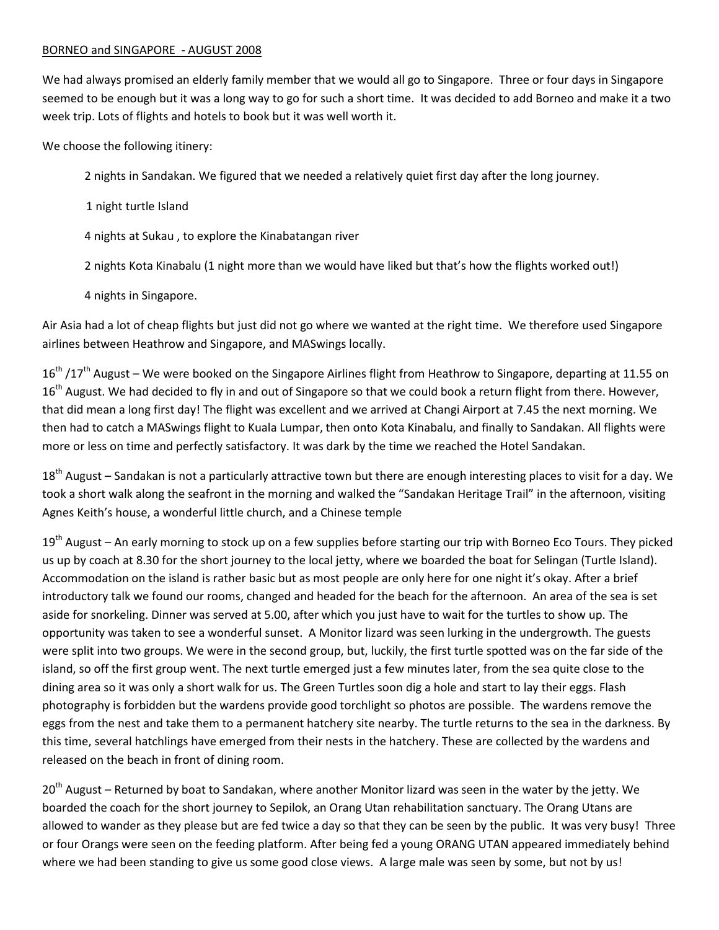## BORNEO and SINGAPORE - AUGUST 2008

We had always promised an elderly family member that we would all go to Singapore. Three or four days in Singapore seemed to be enough but it was a long way to go for such a short time. It was decided to add Borneo and make it a two week trip. Lots of flights and hotels to book but it was well worth it.

We choose the following itinery:

2 nights in Sandakan. We figured that we needed a relatively quiet first day after the long journey.

1 night turtle Island

4 nights at Sukau , to explore the Kinabatangan river

2 nights Kota Kinabalu (1 night more than we would have liked but that's how the flights worked out!)

4 nights in Singapore.

Air Asia had a lot of cheap flights but just did not go where we wanted at the right time. We therefore used Singapore airlines between Heathrow and Singapore, and MASwings locally.

16<sup>th</sup> /17<sup>th</sup> August – We were booked on the Singapore Airlines flight from Heathrow to Singapore, departing at 11.55 on  $16<sup>th</sup>$  August. We had decided to fly in and out of Singapore so that we could book a return flight from there. However, that did mean a long first day! The flight was excellent and we arrived at Changi Airport at 7.45 the next morning. We then had to catch a MASwings flight to Kuala Lumpar, then onto Kota Kinabalu, and finally to Sandakan. All flights were more or less on time and perfectly satisfactory. It was dark by the time we reached the Hotel Sandakan.

18<sup>th</sup> August – Sandakan is not a particularly attractive town but there are enough interesting places to visit for a day. We took a short walk along the seafront in the morning and walked the "Sandakan Heritage Trail" in the afternoon, visiting Agnes Keith's house, a wonderful little church, and a Chinese temple

 $19<sup>th</sup>$  August – An early morning to stock up on a few supplies before starting our trip with Borneo Eco Tours. They picked us up by coach at 8.30 for the short journey to the local jetty, where we boarded the boat for Selingan (Turtle Island). Accommodation on the island is rather basic but as most people are only here for one night it's okay. After a brief introductory talk we found our rooms, changed and headed for the beach for the afternoon. An area of the sea is set aside for snorkeling. Dinner was served at 5.00, after which you just have to wait for the turtles to show up. The opportunity was taken to see a wonderful sunset. A Monitor lizard was seen lurking in the undergrowth. The guests were split into two groups. We were in the second group, but, luckily, the first turtle spotted was on the far side of the island, so off the first group went. The next turtle emerged just a few minutes later, from the sea quite close to the dining area so it was only a short walk for us. The Green Turtles soon dig a hole and start to lay their eggs. Flash photography is forbidden but the wardens provide good torchlight so photos are possible. The wardens remove the eggs from the nest and take them to a permanent hatchery site nearby. The turtle returns to the sea in the darkness. By this time, several hatchlings have emerged from their nests in the hatchery. These are collected by the wardens and released on the beach in front of dining room.

 $20<sup>th</sup>$  August – Returned by boat to Sandakan, where another Monitor lizard was seen in the water by the jetty. We boarded the coach for the short journey to Sepilok, an Orang Utan rehabilitation sanctuary. The Orang Utans are allowed to wander as they please but are fed twice a day so that they can be seen by the public. It was very busy! Three or four Orangs were seen on the feeding platform. After being fed a young ORANG UTAN appeared immediately behind where we had been standing to give us some good close views. A large male was seen by some, but not by us!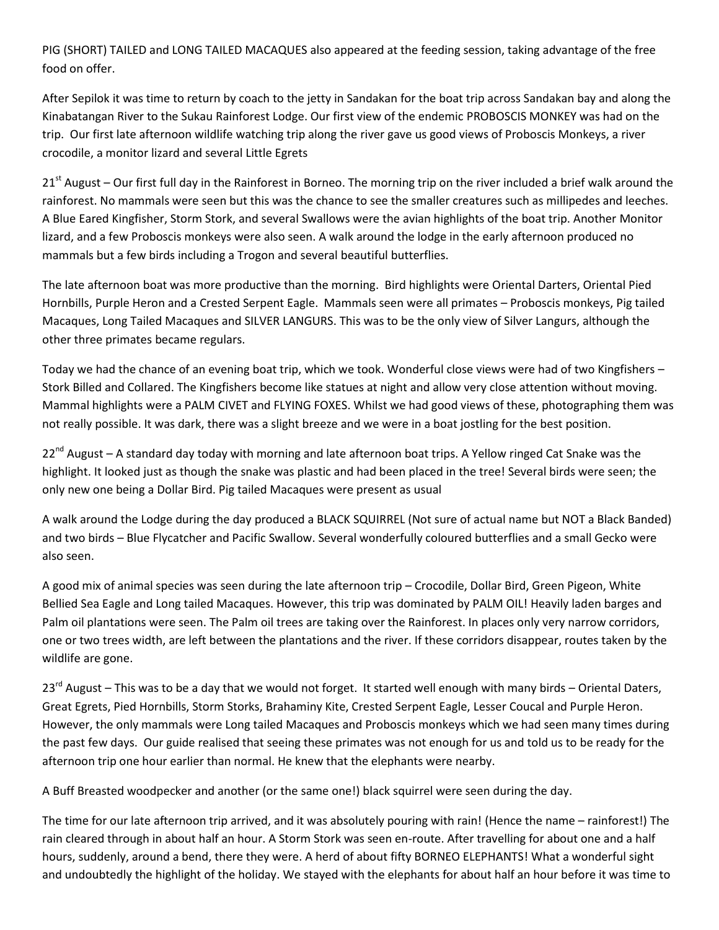PIG (SHORT) TAILED and LONG TAILED MACAQUES also appeared at the feeding session, taking advantage of the free food on offer.

After Sepilok it was time to return by coach to the jetty in Sandakan for the boat trip across Sandakan bay and along the Kinabatangan River to the Sukau Rainforest Lodge. Our first view of the endemic PROBOSCIS MONKEY was had on the trip. Our first late afternoon wildlife watching trip along the river gave us good views of Proboscis Monkeys, a river crocodile, a monitor lizard and several Little Egrets

 $21<sup>st</sup>$  August – Our first full day in the Rainforest in Borneo. The morning trip on the river included a brief walk around the rainforest. No mammals were seen but this was the chance to see the smaller creatures such as millipedes and leeches. A Blue Eared Kingfisher, Storm Stork, and several Swallows were the avian highlights of the boat trip. Another Monitor lizard, and a few Proboscis monkeys were also seen. A walk around the lodge in the early afternoon produced no mammals but a few birds including a Trogon and several beautiful butterflies.

The late afternoon boat was more productive than the morning. Bird highlights were Oriental Darters, Oriental Pied Hornbills, Purple Heron and a Crested Serpent Eagle. Mammals seen were all primates – Proboscis monkeys, Pig tailed Macaques, Long Tailed Macaques and SILVER LANGURS. This was to be the only view of Silver Langurs, although the other three primates became regulars.

Today we had the chance of an evening boat trip, which we took. Wonderful close views were had of two Kingfishers – Stork Billed and Collared. The Kingfishers become like statues at night and allow very close attention without moving. Mammal highlights were a PALM CIVET and FLYING FOXES. Whilst we had good views of these, photographing them was not really possible. It was dark, there was a slight breeze and we were in a boat jostling for the best position.

 $22^{nd}$  August – A standard day today with morning and late afternoon boat trips. A Yellow ringed Cat Snake was the highlight. It looked just as though the snake was plastic and had been placed in the tree! Several birds were seen; the only new one being a Dollar Bird. Pig tailed Macaques were present as usual

A walk around the Lodge during the day produced a BLACK SQUIRREL (Not sure of actual name but NOT a Black Banded) and two birds – Blue Flycatcher and Pacific Swallow. Several wonderfully coloured butterflies and a small Gecko were also seen.

A good mix of animal species was seen during the late afternoon trip – Crocodile, Dollar Bird, Green Pigeon, White Bellied Sea Eagle and Long tailed Macaques. However, this trip was dominated by PALM OIL! Heavily laden barges and Palm oil plantations were seen. The Palm oil trees are taking over the Rainforest. In places only very narrow corridors, one or two trees width, are left between the plantations and the river. If these corridors disappear, routes taken by the wildlife are gone.

 $23^{rd}$  August – This was to be a day that we would not forget. It started well enough with many birds – Oriental Daters, Great Egrets, Pied Hornbills, Storm Storks, Brahaminy Kite, Crested Serpent Eagle, Lesser Coucal and Purple Heron. However, the only mammals were Long tailed Macaques and Proboscis monkeys which we had seen many times during the past few days. Our guide realised that seeing these primates was not enough for us and told us to be ready for the afternoon trip one hour earlier than normal. He knew that the elephants were nearby.

A Buff Breasted woodpecker and another (or the same one!) black squirrel were seen during the day.

The time for our late afternoon trip arrived, and it was absolutely pouring with rain! (Hence the name – rainforest!) The rain cleared through in about half an hour. A Storm Stork was seen en-route. After travelling for about one and a half hours, suddenly, around a bend, there they were. A herd of about fifty BORNEO ELEPHANTS! What a wonderful sight and undoubtedly the highlight of the holiday. We stayed with the elephants for about half an hour before it was time to